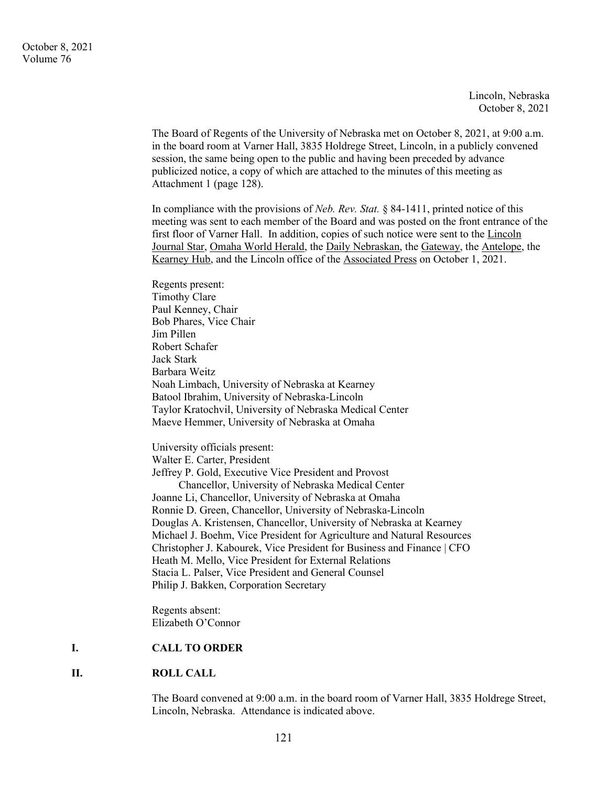Lincoln, Nebraska October 8, 2021

The Board of Regents of the University of Nebraska met on October 8, 2021, at 9:00 a.m. in the board room at Varner Hall, 3835 Holdrege Street, Lincoln, in a publicly convened session, the same being open to the public and having been preceded by advance publicized notice, a copy of which are attached to the minutes of this meeting as Attachment 1 (page 128).

In compliance with the provisions of *Neb. Rev. Stat.* § 84-1411, printed notice of this meeting was sent to each member of the Board and was posted on the front entrance of the first floor of Varner Hall. In addition, copies of such notice were sent to the Lincoln Journal Star, Omaha World Herald, the Daily Nebraskan, the Gateway, the Antelope, the Kearney Hub, and the Lincoln office of the Associated Press on October 1, 2021.

Regents present: Timothy Clare Paul Kenney, Chair Bob Phares, Vice Chair Jim Pillen Robert Schafer Jack Stark Barbara Weitz Noah Limbach, University of Nebraska at Kearney Batool Ibrahim, University of Nebraska-Lincoln Taylor Kratochvil, University of Nebraska Medical Center Maeve Hemmer, University of Nebraska at Omaha

University officials present: Walter E. Carter, President Jeffrey P. Gold, Executive Vice President and Provost Chancellor, University of Nebraska Medical Center Joanne Li, Chancellor, University of Nebraska at Omaha Ronnie D. Green, Chancellor, University of Nebraska-Lincoln Douglas A. Kristensen, Chancellor, University of Nebraska at Kearney Michael J. Boehm, Vice President for Agriculture and Natural Resources Christopher J. Kabourek, Vice President for Business and Finance | CFO Heath M. Mello, Vice President for External Relations Stacia L. Palser, Vice President and General Counsel Philip J. Bakken, Corporation Secretary

Regents absent: Elizabeth O'Connor

#### **I. CALL TO ORDER**

#### **II. ROLL CALL**

The Board convened at 9:00 a.m. in the board room of Varner Hall, 3835 Holdrege Street, Lincoln, Nebraska. Attendance is indicated above.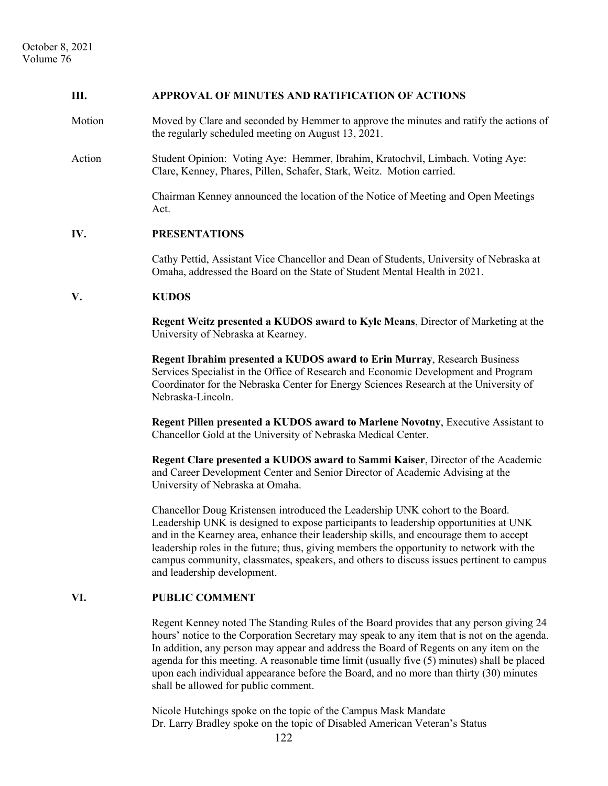### **III. APPROVAL OF MINUTES AND RATIFICATION OF ACTIONS**

- Motion Moved by Clare and seconded by Hemmer to approve the minutes and ratify the actions of the regularly scheduled meeting on August 13, 2021.
- Action Student Opinion: Voting Aye: Hemmer, Ibrahim, Kratochvil, Limbach. Voting Aye: Clare, Kenney, Phares, Pillen, Schafer, Stark, Weitz. Motion carried.

Chairman Kenney announced the location of the Notice of Meeting and Open Meetings Act.

# **IV. PRESENTATIONS**

Cathy Pettid, Assistant Vice Chancellor and Dean of Students, University of Nebraska at Omaha, addressed the Board on the State of Student Mental Health in 2021.

#### **V. KUDOS**

**Regent Weitz presented a KUDOS award to Kyle Means**, Director of Marketing at the University of Nebraska at Kearney.

**Regent Ibrahim presented a KUDOS award to Erin Murray**, Research Business Services Specialist in the Office of Research and Economic Development and Program Coordinator for the Nebraska Center for Energy Sciences Research at the University of Nebraska-Lincoln.

**Regent Pillen presented a KUDOS award to Marlene Novotny**, Executive Assistant to Chancellor Gold at the University of Nebraska Medical Center.

**Regent Clare presented a KUDOS award to Sammi Kaiser**, Director of the Academic and Career Development Center and Senior Director of Academic Advising at the University of Nebraska at Omaha.

Chancellor Doug Kristensen introduced the Leadership UNK cohort to the Board. Leadership UNK is designed to expose participants to leadership opportunities at UNK and in the Kearney area, enhance their leadership skills, and encourage them to accept leadership roles in the future; thus, giving members the opportunity to network with the campus community, classmates, speakers, and others to discuss issues pertinent to campus and leadership development.

#### **VI. PUBLIC COMMENT**

Regent Kenney noted The Standing Rules of the Board provides that any person giving 24 hours' notice to the Corporation Secretary may speak to any item that is not on the agenda. In addition, any person may appear and address the Board of Regents on any item on the agenda for this meeting. A reasonable time limit (usually five (5) minutes) shall be placed upon each individual appearance before the Board, and no more than thirty (30) minutes shall be allowed for public comment.

Nicole Hutchings spoke on the topic of the Campus Mask Mandate Dr. Larry Bradley spoke on the topic of Disabled American Veteran's Status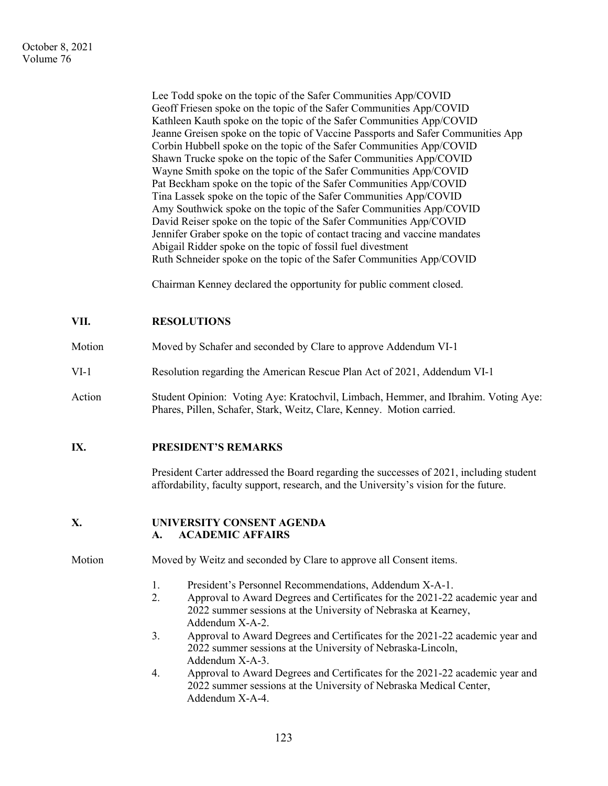Lee Todd spoke on the topic of the Safer Communities App/COVID Geoff Friesen spoke on the topic of the Safer Communities App/COVID Kathleen Kauth spoke on the topic of the Safer Communities App/COVID Jeanne Greisen spoke on the topic of Vaccine Passports and Safer Communities App Corbin Hubbell spoke on the topic of the Safer Communities App/COVID Shawn Trucke spoke on the topic of the Safer Communities App/COVID Wayne Smith spoke on the topic of the Safer Communities App/COVID Pat Beckham spoke on the topic of the Safer Communities App/COVID Tina Lassek spoke on the topic of the Safer Communities App/COVID Amy Southwick spoke on the topic of the Safer Communities App/COVID David Reiser spoke on the topic of the Safer Communities App/COVID Jennifer Graber spoke on the topic of contact tracing and vaccine mandates Abigail Ridder spoke on the topic of fossil fuel divestment Ruth Schneider spoke on the topic of the Safer Communities App/COVID

Chairman Kenney declared the opportunity for public comment closed.

# **VII. RESOLUTIONS**

- Motion Moved by Schafer and seconded by Clare to approve Addendum VI-1
- VI-1 Resolution regarding the American Rescue Plan Act of 2021, Addendum VI-1
- Action Student Opinion: Voting Aye: Kratochvil, Limbach, Hemmer, and Ibrahim. Voting Aye: Phares, Pillen, Schafer, Stark, Weitz, Clare, Kenney. Motion carried.

### **IX. PRESIDENT'S REMARKS**

President Carter addressed the Board regarding the successes of 2021, including student affordability, faculty support, research, and the University's vision for the future.

### **X. UNIVERSITY CONSENT AGENDA A. ACADEMIC AFFAIRS**

- Motion Moved by Weitz and seconded by Clare to approve all Consent items.
	- 1. President's Personnel Recommendations, Addendum X-A-1.
	- 2. Approval to Award Degrees and Certificates for the 2021-22 academic year and 2022 summer sessions at the University of Nebraska at Kearney, Addendum X-A-2.
	- 3. Approval to Award Degrees and Certificates for the 2021-22 academic year and 2022 summer sessions at the University of Nebraska-Lincoln, Addendum X-A-3.
	- 4. Approval to Award Degrees and Certificates for the 2021-22 academic year and 2022 summer sessions at the University of Nebraska Medical Center, Addendum X-A-4.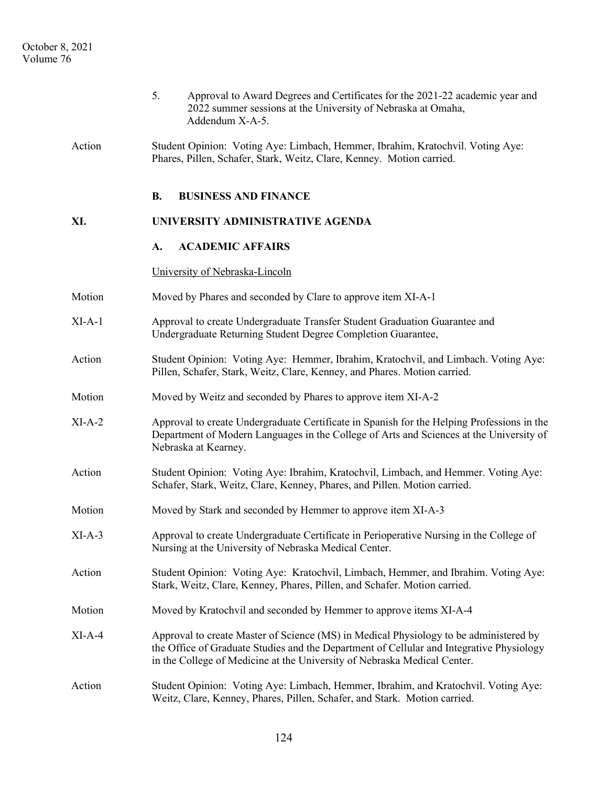|          | 5.<br>Approval to Award Degrees and Certificates for the 2021-22 academic year and<br>2022 summer sessions at the University of Nebraska at Omaha,<br>Addendum X-A-5.                                                                                         |
|----------|---------------------------------------------------------------------------------------------------------------------------------------------------------------------------------------------------------------------------------------------------------------|
| Action   | Student Opinion: Voting Aye: Limbach, Hemmer, Ibrahim, Kratochvil. Voting Aye:<br>Phares, Pillen, Schafer, Stark, Weitz, Clare, Kenney. Motion carried.                                                                                                       |
|          | <b>B.</b><br><b>BUSINESS AND FINANCE</b>                                                                                                                                                                                                                      |
| XI.      | UNIVERSITY ADMINISTRATIVE AGENDA                                                                                                                                                                                                                              |
|          | <b>ACADEMIC AFFAIRS</b><br>A.                                                                                                                                                                                                                                 |
|          | University of Nebraska-Lincoln                                                                                                                                                                                                                                |
| Motion   | Moved by Phares and seconded by Clare to approve item XI-A-1                                                                                                                                                                                                  |
| $XI-A-1$ | Approval to create Undergraduate Transfer Student Graduation Guarantee and<br>Undergraduate Returning Student Degree Completion Guarantee,                                                                                                                    |
| Action   | Student Opinion: Voting Aye: Hemmer, Ibrahim, Kratochvil, and Limbach. Voting Aye:<br>Pillen, Schafer, Stark, Weitz, Clare, Kenney, and Phares. Motion carried.                                                                                               |
| Motion   | Moved by Weitz and seconded by Phares to approve item XI-A-2                                                                                                                                                                                                  |
| $XI-A-2$ | Approval to create Undergraduate Certificate in Spanish for the Helping Professions in the<br>Department of Modern Languages in the College of Arts and Sciences at the University of<br>Nebraska at Kearney.                                                 |
| Action   | Student Opinion: Voting Aye: Ibrahim, Kratochvil, Limbach, and Hemmer. Voting Aye:<br>Schafer, Stark, Weitz, Clare, Kenney, Phares, and Pillen. Motion carried.                                                                                               |
| Motion   | Moved by Stark and seconded by Hemmer to approve item XI-A-3                                                                                                                                                                                                  |
| $XI-A-3$ | Approval to create Undergraduate Certificate in Perioperative Nursing in the College of<br>Nursing at the University of Nebraska Medical Center.                                                                                                              |
| Action   | Student Opinion: Voting Aye: Kratochvil, Limbach, Hemmer, and Ibrahim. Voting Aye:<br>Stark, Weitz, Clare, Kenney, Phares, Pillen, and Schafer. Motion carried.                                                                                               |
| Motion   | Moved by Kratochvil and seconded by Hemmer to approve items XI-A-4                                                                                                                                                                                            |
| $XI-A-4$ | Approval to create Master of Science (MS) in Medical Physiology to be administered by<br>the Office of Graduate Studies and the Department of Cellular and Integrative Physiology<br>in the College of Medicine at the University of Nebraska Medical Center. |
| Action   | Student Opinion: Voting Aye: Limbach, Hemmer, Ibrahim, and Kratochvil. Voting Aye:<br>Weitz, Clare, Kenney, Phares, Pillen, Schafer, and Stark. Motion carried.                                                                                               |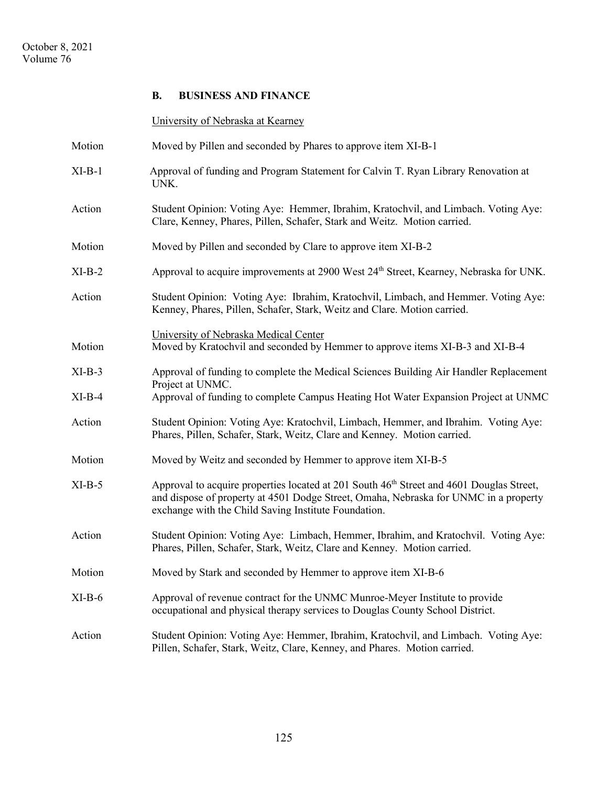### **B. BUSINESS AND FINANCE**

University of Nebraska at Kearney

Motion Moved by Pillen and seconded by Phares to approve item XI-B-1 XI-B-1 Approval of funding and Program Statement for Calvin T. Ryan Library Renovation at UNK. Action Student Opinion: Voting Aye: Hemmer, Ibrahim, Kratochvil, and Limbach. Voting Aye: Clare, Kenney, Phares, Pillen, Schafer, Stark and Weitz. Motion carried. Motion Moved by Pillen and seconded by Clare to approve item XI-B-2 XI-B-2 Approval to acquire improvements at 2900 West 24<sup>th</sup> Street, Kearney, Nebraska for UNK. Action Student Opinion: Voting Aye: Ibrahim, Kratochvil, Limbach, and Hemmer. Voting Aye: Kenney, Phares, Pillen, Schafer, Stark, Weitz and Clare. Motion carried. University of Nebraska Medical Center Motion Moved by Kratochvil and seconded by Hemmer to approve items XI-B-3 and XI-B-4 XI-B-3 Approval of funding to complete the Medical Sciences Building Air Handler Replacement Project at UNMC. XI-B-4 Approval of funding to complete Campus Heating Hot Water Expansion Project at UNMC Action Student Opinion: Voting Aye: Kratochvil, Limbach, Hemmer, and Ibrahim. Voting Aye: Phares, Pillen, Schafer, Stark, Weitz, Clare and Kenney. Motion carried. Motion Moved by Weitz and seconded by Hemmer to approve item XI-B-5 XI-B-5 Approval to acquire properties located at 201 South 46<sup>th</sup> Street and 4601 Douglas Street, and dispose of property at 4501 Dodge Street, Omaha, Nebraska for UNMC in a property exchange with the Child Saving Institute Foundation. Action Student Opinion: Voting Aye: Limbach, Hemmer, Ibrahim, and Kratochvil. Voting Aye: Phares, Pillen, Schafer, Stark, Weitz, Clare and Kenney. Motion carried. Motion Moved by Stark and seconded by Hemmer to approve item XI-B-6 XI-B-6 Approval of revenue contract for the UNMC Munroe-Meyer Institute to provide occupational and physical therapy services to Douglas County School District. Action Student Opinion: Voting Aye: Hemmer, Ibrahim, Kratochvil, and Limbach. Voting Aye: Pillen, Schafer, Stark, Weitz, Clare, Kenney, and Phares. Motion carried.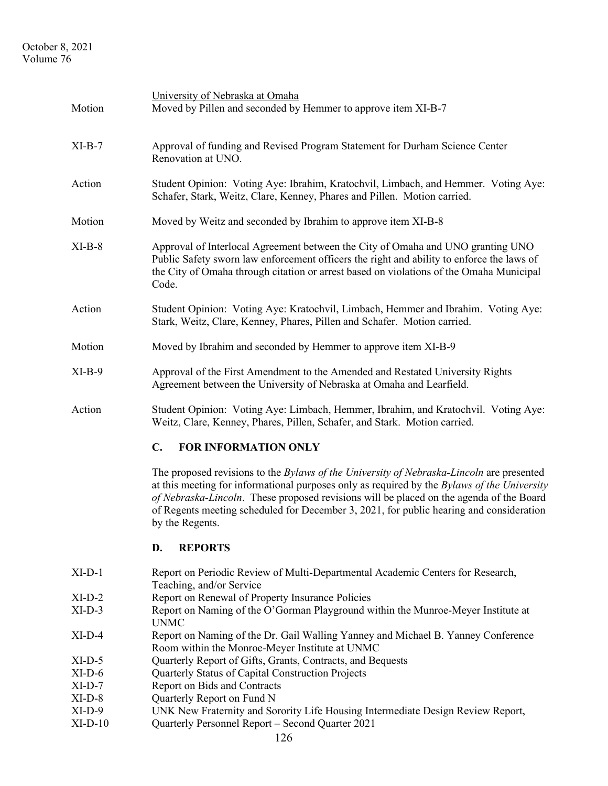# October 8, 2021 Volume 76

| Motion    | University of Nebraska at Omaha<br>Moved by Pillen and seconded by Hemmer to approve item XI-B-7                                                                                                                                                                                                                                                                                                 |
|-----------|--------------------------------------------------------------------------------------------------------------------------------------------------------------------------------------------------------------------------------------------------------------------------------------------------------------------------------------------------------------------------------------------------|
| $XI-B-7$  | Approval of funding and Revised Program Statement for Durham Science Center<br>Renovation at UNO.                                                                                                                                                                                                                                                                                                |
| Action    | Student Opinion: Voting Aye: Ibrahim, Kratochvil, Limbach, and Hemmer. Voting Aye:<br>Schafer, Stark, Weitz, Clare, Kenney, Phares and Pillen. Motion carried.                                                                                                                                                                                                                                   |
| Motion    | Moved by Weitz and seconded by Ibrahim to approve item XI-B-8                                                                                                                                                                                                                                                                                                                                    |
| $XI-B-8$  | Approval of Interlocal Agreement between the City of Omaha and UNO granting UNO<br>Public Safety sworn law enforcement officers the right and ability to enforce the laws of<br>the City of Omaha through citation or arrest based on violations of the Omaha Municipal<br>Code.                                                                                                                 |
| Action    | Student Opinion: Voting Aye: Kratochvil, Limbach, Hemmer and Ibrahim. Voting Aye:<br>Stark, Weitz, Clare, Kenney, Phares, Pillen and Schafer. Motion carried.                                                                                                                                                                                                                                    |
| Motion    | Moved by Ibrahim and seconded by Hemmer to approve item XI-B-9                                                                                                                                                                                                                                                                                                                                   |
| $XI-B-9$  | Approval of the First Amendment to the Amended and Restated University Rights<br>Agreement between the University of Nebraska at Omaha and Learfield.                                                                                                                                                                                                                                            |
| Action    | Student Opinion: Voting Aye: Limbach, Hemmer, Ibrahim, and Kratochvil. Voting Aye:<br>Weitz, Clare, Kenney, Phares, Pillen, Schafer, and Stark. Motion carried.                                                                                                                                                                                                                                  |
|           | $\mathbf{C}$ .<br>FOR INFORMATION ONLY                                                                                                                                                                                                                                                                                                                                                           |
|           | The proposed revisions to the Bylaws of the University of Nebraska-Lincoln are presented<br>at this meeting for informational purposes only as required by the Bylaws of the University<br>of Nebraska-Lincoln. These proposed revisions will be placed on the agenda of the Board<br>of Regents meeting scheduled for December 3, 2021, for public hearing and consideration<br>by the Regents. |
|           | <b>REPORTS</b><br>D.                                                                                                                                                                                                                                                                                                                                                                             |
| $XI-D-1$  | Report on Periodic Review of Multi-Departmental Academic Centers for Research,<br>Teaching, and/or Service                                                                                                                                                                                                                                                                                       |
| $XI-D-2$  | Report on Renewal of Property Insurance Policies                                                                                                                                                                                                                                                                                                                                                 |
| $XI-D-3$  | Report on Naming of the O'Gorman Playground within the Munroe-Meyer Institute at<br><b>UNMC</b>                                                                                                                                                                                                                                                                                                  |
| $XI-D-4$  | Report on Naming of the Dr. Gail Walling Yanney and Michael B. Yanney Conference<br>Room within the Monroe-Meyer Institute at UNMC                                                                                                                                                                                                                                                               |
| $XI-D-5$  | Quarterly Report of Gifts, Grants, Contracts, and Bequests                                                                                                                                                                                                                                                                                                                                       |
| $XI-D-6$  | Quarterly Status of Capital Construction Projects                                                                                                                                                                                                                                                                                                                                                |
| $XI-D-7$  | Report on Bids and Contracts                                                                                                                                                                                                                                                                                                                                                                     |
| $XI-D-8$  | Quarterly Report on Fund N                                                                                                                                                                                                                                                                                                                                                                       |
| $XI-D-9$  | UNK New Fraternity and Sorority Life Housing Intermediate Design Review Report,                                                                                                                                                                                                                                                                                                                  |
| $XI-D-10$ | Quarterly Personnel Report - Second Quarter 2021                                                                                                                                                                                                                                                                                                                                                 |
|           | 126                                                                                                                                                                                                                                                                                                                                                                                              |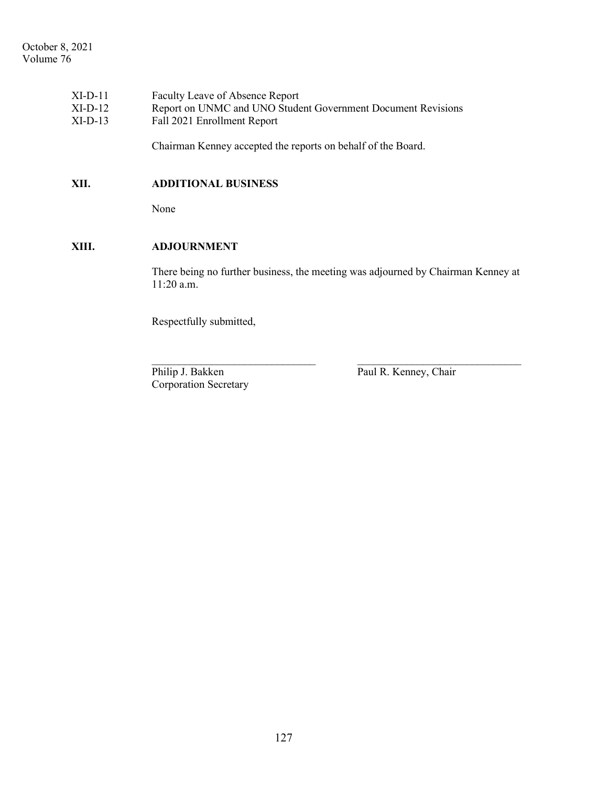| $XI-D-11$ | Faculty Leave of Absence Report                              |
|-----------|--------------------------------------------------------------|
| $XI-D-12$ | Report on UNMC and UNO Student Government Document Revisions |
| $XI-D-13$ | Fall 2021 Enrollment Report                                  |
|           |                                                              |

Chairman Kenney accepted the reports on behalf of the Board.

# **XII. ADDITIONAL BUSINESS**

None

# **XIII. ADJOURNMENT**

There being no further business, the meeting was adjourned by Chairman Kenney at 11:20 a.m.

 $\_$  , and the contribution of the contribution of  $\mathcal{L}_\mathcal{A}$  , and the contribution of  $\mathcal{L}_\mathcal{A}$ 

Respectfully submitted,

Corporation Secretary

Philip J. Bakken Paul R. Kenney, Chair